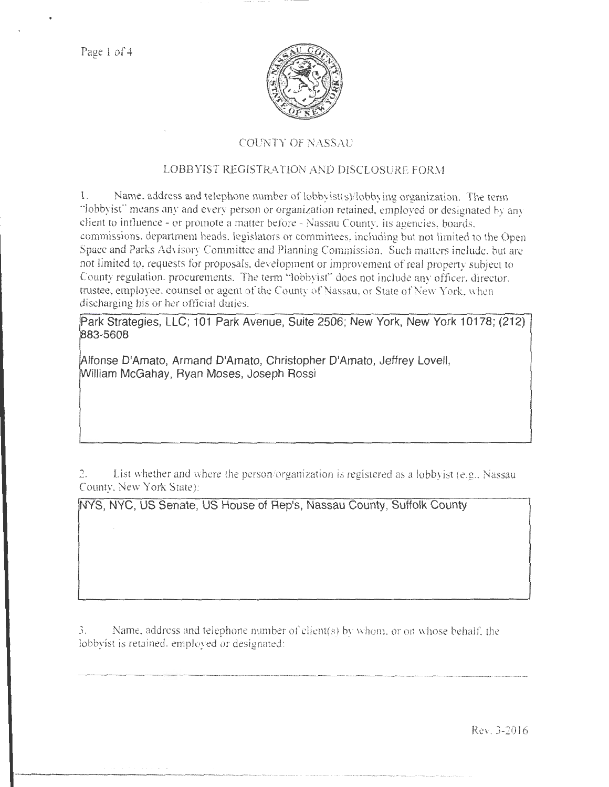Page 1 of 4



## **COUNTY OF NASSAU**

### LOBBYIST REGISTRATION AND DISCLOSURE FORM

1. Name. address and telephone number of lobbyist(s)/lobbying organization. The term · lobbyist"' means any and every person or organization retained, employed or designated by any client to influence - or promote a matter before - Nassau County, its agencies, boards. commissions, department heads, legislators or committees, including but not limited to the Open Space and Parks Advisory Committee and Planning Commission. Such matters include, but are not limited to, requests for proposals, development or improvement of real properry subject to County regulation, procurements. The term "lobbyist" does not include any officer, director, trustee, employee. counsel or agent of the County of Nassau, or State of New York, when discharging his or her official duties.

Park Strategies, LLC; 101 Park Avenue, Suite 2506; New York, New York 10178; (212) 83-5608

Alfonse D'Amato, Armand D'Amato, Christopher D'Amato, Jeffrey Lovell, William McGahay, Ryan Moses, Joseph Rossi

List whether and where the person/organization is registered as a lobbyist (e.g., Nassau 2. County, New York State):

NYS, NYC, US Senate, US House of Rep's, Nassau County, Suffolk County

3. Name, address and telephone number of client( $s$ ) by whom. or on whose behalf, the lobbyist is retained, employed or designated:

Rev. 3-2016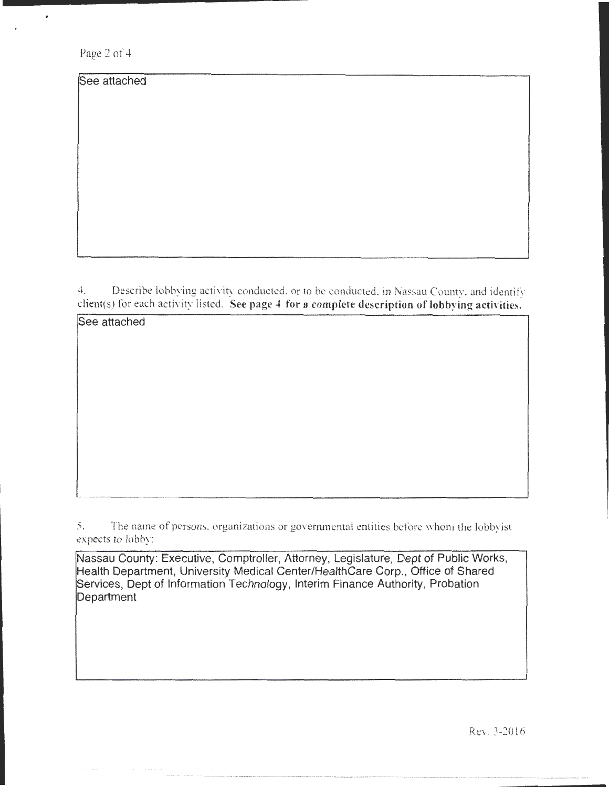Page 2 of 4

 $\bullet$ 

See attached

See attached

4. Describe lobbying activity conducted, or to be conducted, in Nassau County, and identify  $client(s)$  for each activity listed. See page 4 for a complete description of lobbying activities.

5. The name of persons, organizations or governmental entities before whom the lobbyist expects to lobby:

Nassau County: Executive, Comptroller, Attorney, Legislature, Dept of Public Works, Health Department, University Medical Center/HealthCare Corp., Office of Shared Services, Dept of Information Technology, Interim Finance Authority, Probation Department

Rev. 3-2016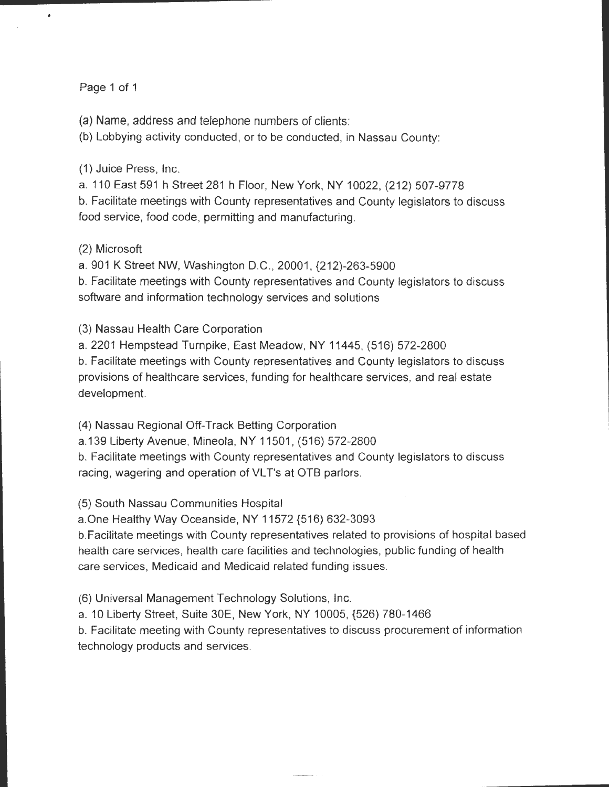## Page 1 of 1

 $\bullet$ 

(a) Name, address and telephone numbers of clients:

(b) Lobbying activity conducted , or to be conducted, in Nassau County:

(1) Juice Press, Inc.

a. 110 East 591 h Street 281 h Floor, New York, NY 10022, (212) 507-9778 b. Facilitate meetings with County representatives and County legislators to discuss food service, food code, permitting and manufacturing.

## (2) Microsoft

a. 901 K Street NW, Washington D.C., 20001, {212)-263-5900

b. Facilitate meetings with County representatives and County legislators to discuss software and information technology services and solutions

(3) Nassau Health Care Corporation

a. 2201 Hempstead Turnpike, East Meadow, NY 11445, (516) 572-2800

b. Facilitate meetings with County representatives and County legislators to discuss provisions of healthcare services, funding for healthcare services, and real estate development.

(4) Nassau Regional Off-Track Betting Corporation

a.139 Liberty Avenue, Mineola, NY 11501 , (516) 572-2800

b. Facilitate meetings with County representatives and County legislators to discuss racing, wagering and operation of VLT's at OTB parlors.

(5) South Nassau Communities Hospital

a.One Healthy Way Oceanside, NY 11572 {516) 632-3093

b. Facilitate meetings with County representatives related to provisions of hospital based health care services, health care facilities and technologies, public funding of health care services, Medicaid and Medicaid related funding issues.

(6) Universal Management Technology Solutions, Inc.

a. 10 Liberty Street, Suite 30E, New York, NY 10005, {526) 780-1466

b. Facilitate meeting with County representatives to discuss procurement of information technology products and services.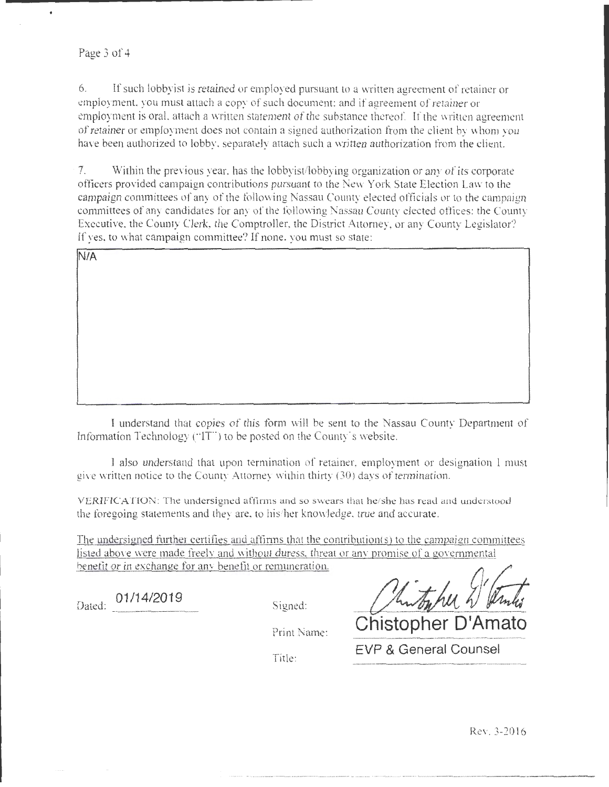### Page 3 of 4

 $\ddot{\phantom{0}}$ 

6. If such lobbyist is retained or employed pursuant to a \:Vritten agreement of retainer or employment. you must attach a copy of such document: and if agreement of retainer or employment is oral, attach a written statement of the substance thereof. If the written agreement of retainer or employment does not contain a signed authorization from the client by whom you have been authorized to lobby, separately attach such a written authorization from the client.

7. Within the previous year, has the lobbyist/lobbying organization or any of its corporate officers provided campaign contributions pursuant to the New York State Election Law to the campaign committees of any of the following Nassau County elected officials or to the campaign committees of any candidates for any of the following Nassau County elected oflices: the County Executive, the County Clerk, the Comptroller, the District Attorney, or any County Legislator? If yes, to what campaign committee? If none, you must so state:

| N/A |  |  |
|-----|--|--|
|     |  |  |
|     |  |  |
|     |  |  |
|     |  |  |
|     |  |  |
|     |  |  |
|     |  |  |
|     |  |  |
|     |  |  |
|     |  |  |

I under tand that copies of this form will be sent to the Nassau County Department of Information Technology ("IT") to be posted on the County's website.

l also understand that upon terminatjon of retainer. employment or designation 1 mu t give written notice to the County Attorney within thirty (30) days of termination.

VERIFICATION: The undersigned affinns and so swears that he/she has read and understood the foregoing statements and they are, to his/her knowledge, true and accurate.

The undersigned further certifies and affirms that the contribution(s) to the campaign committees listed above were made freely and without duress, threat or any promise of a governmental benefit or in exchange for any benefit or remuneration.

Dated: 01/14/2019 *Signed: Minthlu 2/4* 

Title:

Print Name: **Chistopher D'Amato EVP & General Counsel** 

Rev. 3-2016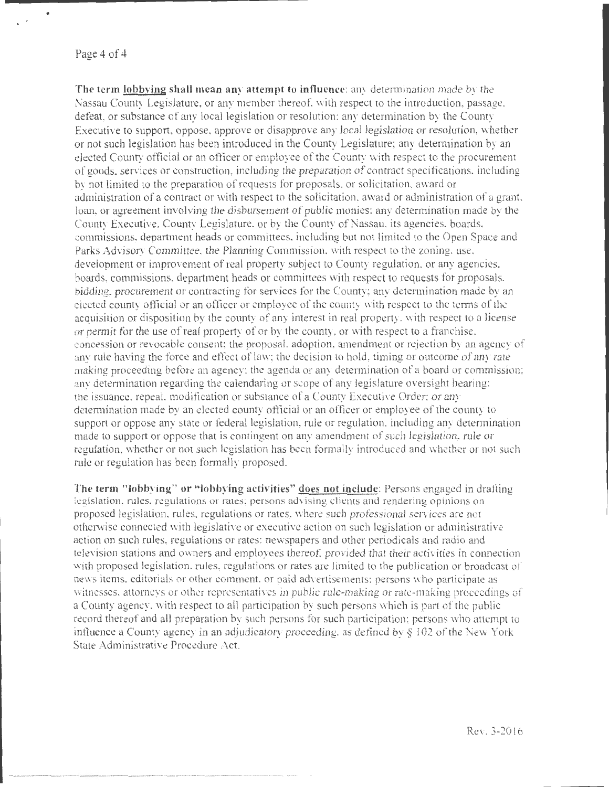Page 4 of 4

•

The term lobbying shall mean any attempt to influence: any determination made by the Nassau County Legislature, or any member thereof, with respect to the introduction, passage, defeat, or substance of any local legislation or resolution; any determination by the County Executive to support, oppose, approve or disapprove any local legislation or resolution, whether or not such legislation has been introduced in the County Legislature; any determination by an elected County official or an officer or employee of the County with respect to the procurement of good , ervices or con truction, including the preparation of contract specifications. including by not limited to the preparation of requests for proposals, or solicitation, award or administration of a contract or with respect to the solicitation, award or administration of a grant, loan, or agreement involving the disbursement of public monies: any determination made by the County Executive, County Legislature, or by the County of Nassau, its agencies, boards. commissions, department heads or committees, including but not limited to the Open Space and Parks Advisory Committee. the Planning Commission, with respect to the zoning, use. development or improvement of real property subject to County regulation. or any agencies, boards, commissions department heads or committees with respect to requests for proposals, bidding, procurement or contracting for services for the County; any determination made by an clected county official or an officer or employee of the county with respect to the terms of the acquisition or disposition by the county of any interest in real property. with respect to a license or pemut for the use of real property of or by the county, or with respect to a franchise. concession *or* revocable consent: the proposal. adoption, amendment or rejection b\_ an agency of any rule having the force and effect of law; the decision to hold, timing or outcome of any rate making proceeding before an agency; the agenda or any determination of a board or commission; any detennination regarding the calendaring or scope of any legislature oversight hearing; the issuance. repeal, modification or substance of a County Executive Order: or any detennination made by an elected county official or an officer or employee of the county to support or oppose any state or federal legislation, rule or regulation. including any determination made to support or oppose that is contingent on any amendment of such legislation, rule or regulation, whether or not such legislation has been formally introduced and whether or not such rule or regulation has been formally proposed.

The term "lobbying" or "lobbying activities" does not include: Persons engaged in drafting legislation, rules, regulations or rates; persons advising clients and rendering opinions on proposed legislation, rules. regulations or rates, where such professional services are not otherwise cmmected with legislative or executive action on such legislation or administrative action on such rules, regulations or rates: newspapers and other periodicals and radio and television stations and owners and employees thereof, provided that their activities in connection with proposed legislation. rules, regulations or rates are limited to the publication or broadcast of news items. editorials or other comment, or paid advertisements: persons who participate as witnesses. attorneys or other representatives in public rule-making or rate-making proceedings of a County agency. with respect to all participation by such persons which is part of the public record thereof and all preparation by such persons for such participation; persons who attempt to influence a County agency in an adjudicatory proceeding. as defined by *§* 1 02 of the New York State Administrative Procedure Act.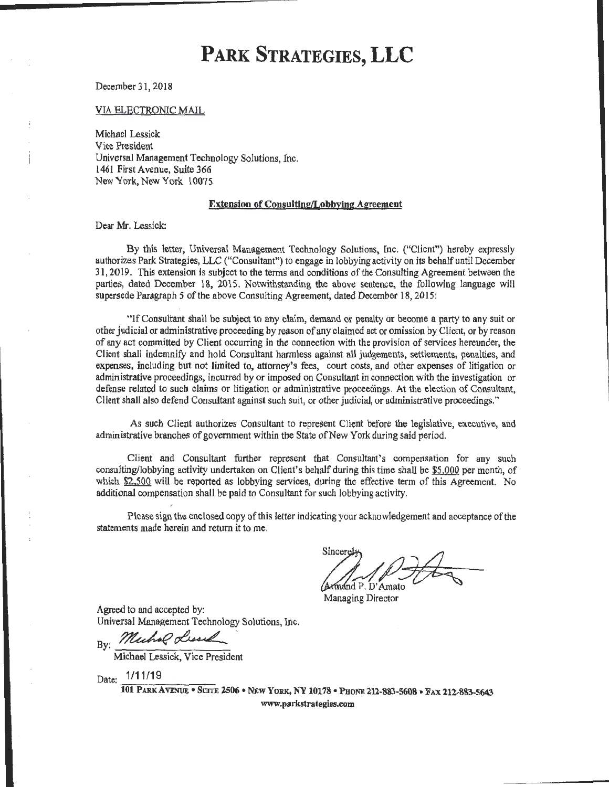December 31,2018

VIA ELECTRONIC MAIL

Michael Lessick Vice President Universal Management Technology Solutions, Inc. 1461 First Avenue, Suite 366 New York, New York 10075

#### Extension of Consulting/Lobbying Agreement

Dear Mr. Lessick:

By this letter, Universal Management Technology Solutions, me. ("Client'') hereby expressly authorizes Park Strategies, LLC ("Consultant") to engage in lobbying activity on its behalf until December 31,2019. This extension is subject to the terms and conditions of the Consulting Agreement between the parties, dated December 18, 2015. Notwithstanding the above sentence, the following language will supersede Paragraph 5 of the above Consulting Agreement, dated December 18, 2015:

"If Consultant shall be subject *to* any claim, demand or penalty or become a party to any suit or other judicial or administrative proceeding by reason of any claimed act or omission by Client, or by reason of any act committed by Client occurring in the connection with the provision of services hereunder, the Client shall indemnify and hold Consultant harmless against all judgements, settlements, penalties, and expenses, including but not limited to, attorney's fees, court costs, and other expenses of litigation or administrative proceedings, incurred by or imposed on Consultant in connection with the investigation or defense related to such claims or litigation or administrative proceedings. At the election of Consultant, Client shall also defend Consultant against such suit, or other judicial, or administrative proceedings."

As such Client authorizes Consultant to represent Client before the legislative, executive, and administrative branches of government within the State of New York during said period.

Client and Consultant further represent that Consultant's compensation for any such consulting/lobbying activity undertaken on Client's behalf during this time shall be \$5,000 per month, of which \$2,500 will be reported as lobbying services, during the effective term of this Agreement. No additional compensation shall be paid to Consultant for such lobbying activity.

Please sign the enclosed copy of this letter indicating your acknowledgement and acceptance ofthe statements made herein and return it to me.

Sincerel Armand P. D'Amato

Managing Director

Agreed to and accepted by: Universal Management Technology Solutions, Inc.

By: Muchal Lissel

Michael Lessick, Vice President

Date: 1/11/19

101 PARK AVENUE • SUITE 2506 • NEW YoRK, NY 10178 • PHONE 2U-883-5608 • FAX 212-883-5643 www.parkstrategies.com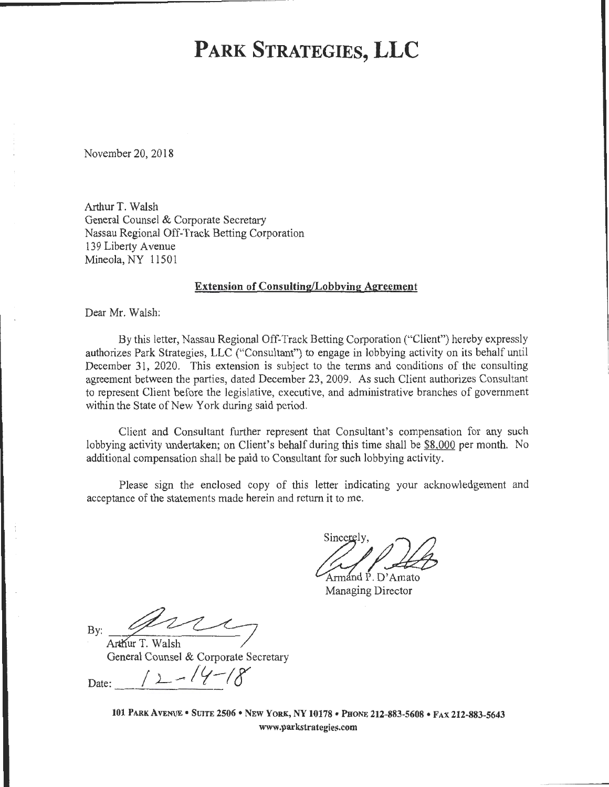November 20, 2018

Arthur T. Walsh General Counsel & Corporate Secretary Nassau Regional Off-Track Betting Corporation 139 Liberty A venue Mineola, NY 11501

### Extension of Consulting/Lobbying Agreement

Dear Mr. Walsh:

By this letter, Nassau Regional Off-Track Betting Corporation ("Client") hereby expressly authorizes Park Strategies, LLC ("Consultant") to engage in lobbying activity on its behalf until December 31, 2020. This extension is subject to the terms and conditions of the consulting agreement between the parties, dated December 23, 2009. As such Client authorizes Consultant to represent Client before the legislative, executive, and administrative branches of government within the State of New York during said period.

Client and Consultant further represent that Consultant's compensation for any such lobbying activity undertaken; on Client's behalf during this time shall be \$8,000 per month. No additional compensation shall be paid to Consultant for such lobbying activity.

Please sign the enclosed copy of this letter indicating your acknowledgement and acceptance of the statements made herein and return it to me.

Sincerely,  $\mathcal{O}(\sqrt{a})$ Armand P. D'Amato

Managing Director

 $Bv:$ 

Arthur T. Walsh General Counsel & Corporate Secretary

Date:  $12-14-18$ 

101 PARK A VENUE • SUITE 2506 • NEW YoRK, NY 10178 • PHONE 212-883-5608 • FAX 212-883-5643

www.parkstrategies.com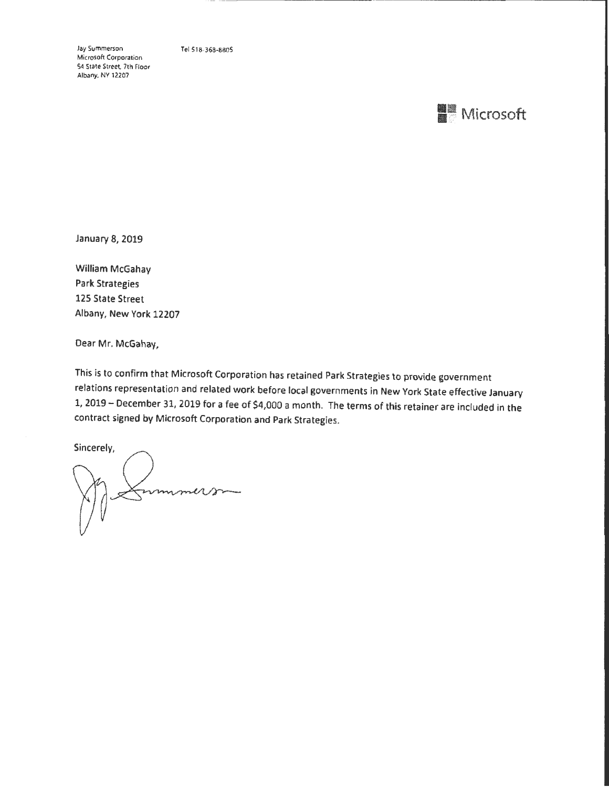Jay Summerson Microsoft Corporation 54 State Street. 7th Floor Albany. NV 12207

Tel518-368·8605

# **■■ Microsoft**

January 8, 2019

William McGahay Park Strategies 125 State Street Albany, New York 12207

Dear Mr. McGahay,

This is to confirm that Microsoft Corporation has retained Park Strategies to provide government relations representation and related work before local governments in New York State effective January 1, 2019- December 31, 2019 for a fee of \$4,000 a month. The terms of this retainer are included in the contract signed by Microsoft Corporation and Park Strategies.

Sincerely, sammune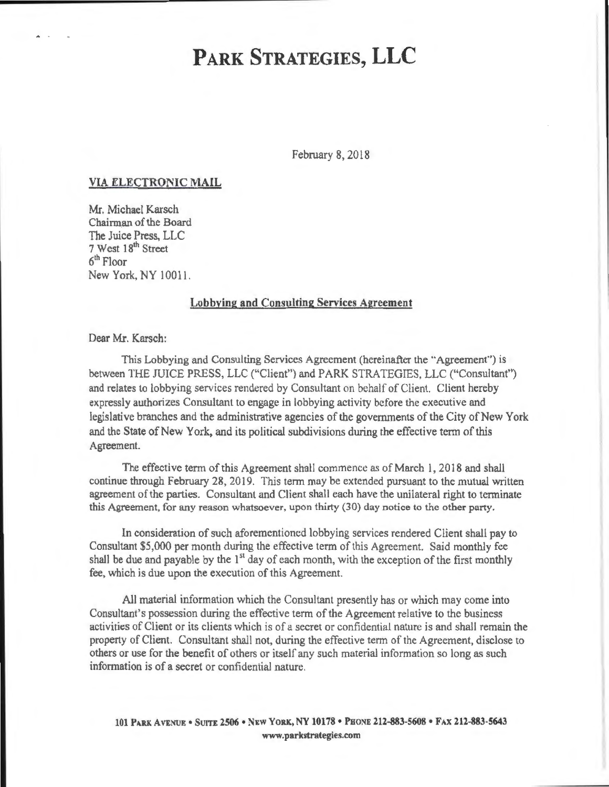February 8, 2018

### VIA ELECTRONIC MAIL

Mr. Michael Karsch Chairman of the Board The Juice Press, LLC 7 West 18<sup>th</sup> Street 61 <sup>h</sup>Floor New York, NY 10011.

### Lobbving and Consulting Services Agreement

Dear Mr. Karsch:

This Lobbying and Consulting Services Agreement (hereinafter the "Agreement") is between THE JUICE PRESS, LLC ('Client") and PARK STRATEGIES, LLC ("Consultant'') and relates to lobbying services rendered by Consultant on behalf of Client. Client hereby expressly authorizes Consultant to engage in lobbying activity before the executive and legislative branches and the administrative agencies of the governments of the City of New York and the State of New York, and its political subdivisions during the effective term of this Agreement.

The effective term of this Agreement shall commence as of March 1, 2018 and shall continue through February 28, 2019. This term may be extended pursuant to the mutual written agreement of the parties. Consultant and Client shall each have the unilateral right to terminate this Agreement, for any reason whatsoever, upon thirty (30) day notice to the other party.

In consideration of such aforementioned lobbying services rendered Client shall pay to Consultant \$5 000 per month during the effective term of this Agreement. Said monthly fee shall be due and payable by the  $1<sup>st</sup>$  day of each month, with the exception of the first monthly fee, which is due upon the execution of this Agreement.

All material information which the Consultant presently has or which may come into Consultant's possession during the effective term of the Agreement relative to the business activities of Client or its clients which is of a secret or confidential nature is and shall remain the property of Client. Consultant shall not, during the effective term of the Agreement, disclose to others or use for the benefit of others or itself any such material information so long as such information is of a secret or confidential nature.

101 PARK AVENUE • SUITE 2506 • NEW YORK, NY 10178 • PHONE 212-883-5608 • FAX 212-883-5643 www.parkstrategies.com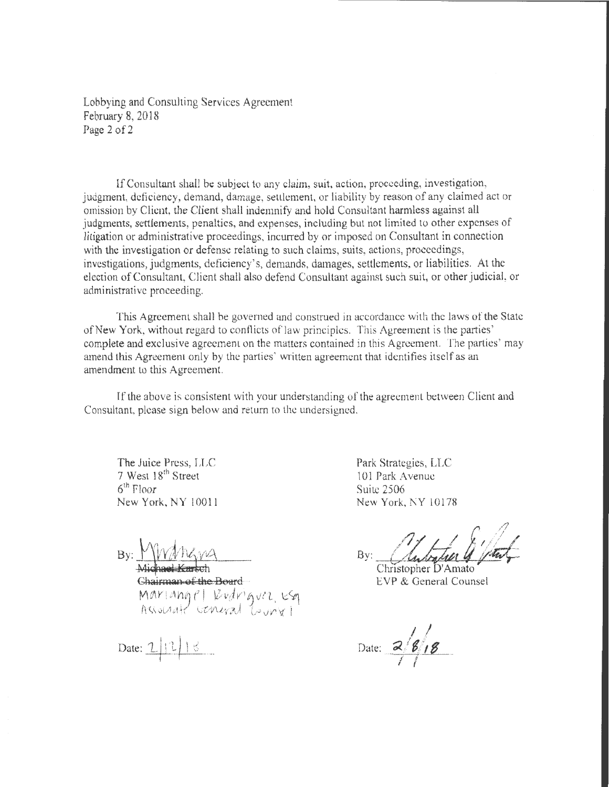Lobbying and Consulting Services Agreement February 8, 2018 Page 2 of 2

If Consultant shall be subject to any claim, suit, action, proceeding, investigation, judgment, deficiency, demand, damage, setllement, or liability by reason of any claimed act or omission by Client the Client shall indemnify and hold Consultant harmless against all judgments, settlements, penalties, and expenses, including but not limited to other expenses of litigation or administrative proceedings, incurred by or imposed on Consultant in connection with the investigation or defense relating to such claims, suits, actions, proceedings, investigations, judgments, deficiency's, demands, damages, settlements, or liabilities. At the election of Consultant, Client shall also defend Consultant against such suit, or other judicial, or administrative proceeding.

This Agreement shall be govemed and construed in accordance with the laws of the State ofNew York, without regard to conflicts of law principles. This Agreement is the parties' complete and exclusive agreement on the matters contained in this Agreement. The parties' may amend this Agreement only by the parties' written agreement that identifies itself as an amendment to this Agreement.

If the above is consistent with your understanding of the agreement between Client and Consultant, please sign below and return to the undersigned.

The Juice Press, LLC 7 West 18<sup>th</sup> Street  $6<sup>th</sup>$  Floor New York, NY l 0011

Chairman of the Board Mariangel Redriguez esq

 $Date: 2|1|8$ 

Park Strategies, LLC 101 Park Avenue Suite 2506 New York, NY l0178

By: Christopher D'Amato

EVP & General Counsel

 $\sqrt{g/g}$ Date: 2/8/18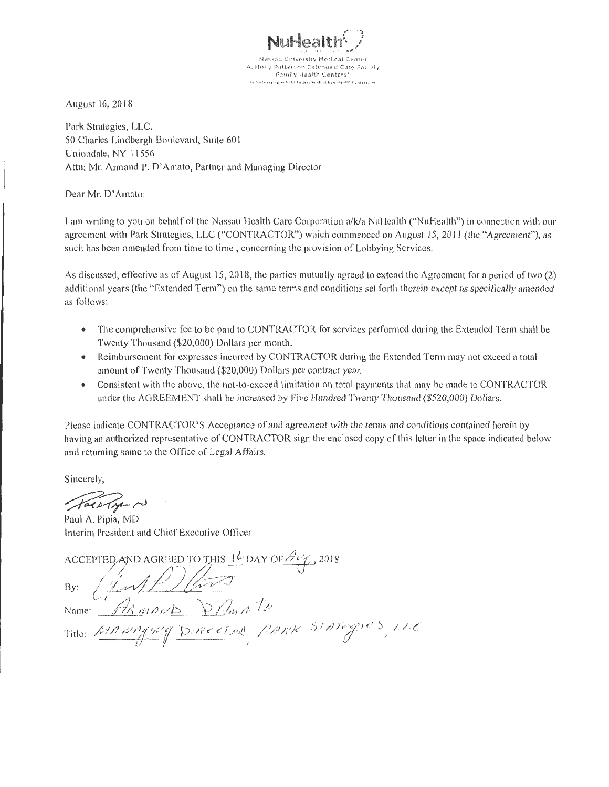NuHealt

**Nassau University Medical Center** A. Holly Patterson Extended Care Facility **Family Health Centers'**<br>Objects to Federally Gobilized Bystin Cynters in

August 16, 20l8

Park Strategies, LLC. 50 Charles Lindbergh Boulevard, Suite 601 Uniondale, NY 11556 Attn: Mr. Armand P. D' Amato, Partner and Managing Director

Dear Mr. D' Amato:

I am writing to you on behalf of the Nassau Health Care Corporation a/kla Nul-Iealth ("N uHealth") in connection with our agreement with Park Strategies, LLC ("CONTRACTOR") which commenced on August 15, 2011 (the "Agreement"), as such has been amended from time to time, concerning the provision of Lobbying Services.

As discussed, effective as of August 15, 2018, the parties mutually agreed to extend the Agreement for a period of two (2) additional years (the "Extended Term") on the same terms and conditions set forth therein except as specifically amended as follows:

- The comprehensive fee to be paid to CONTRACTOR for services performed during the Extended Term shall be Twenty Thousand (\$20,000) Dollars per month.
- Reimbursement for expresses incurred by CONTRACTOR during the Extended Term may not exceed a total amount of Twenty Thousand (\$20,000) Dollars per contract year.
- Consistent with the above, the not-to-exceed limitation on total payments that may be made to CONTRACTOR under the AGREEMENT shall be increased by Five Hundred Twenty Thousand (\$520,000) Dollars.

Please indicate CONTRACTOR'S Acceptance of and agreement with the terms and conditions contained herein by having an authorized representative of CONTRACTOR sign the enclosed copy of this letter in the space indicated below and returning same to the Office of Legal Affairs.

Sincerely,

fact for my

Paul A. Pipia, MD Interim President and Chief Executive Officer

ACCEPTED AND AGREED TO THIS 14 DAY OF AUG., 2018<br>By:  $\sqrt{\sqrt{N}}$ 

Title: MANAquey DIRECTION PARK STATEGIES, LLC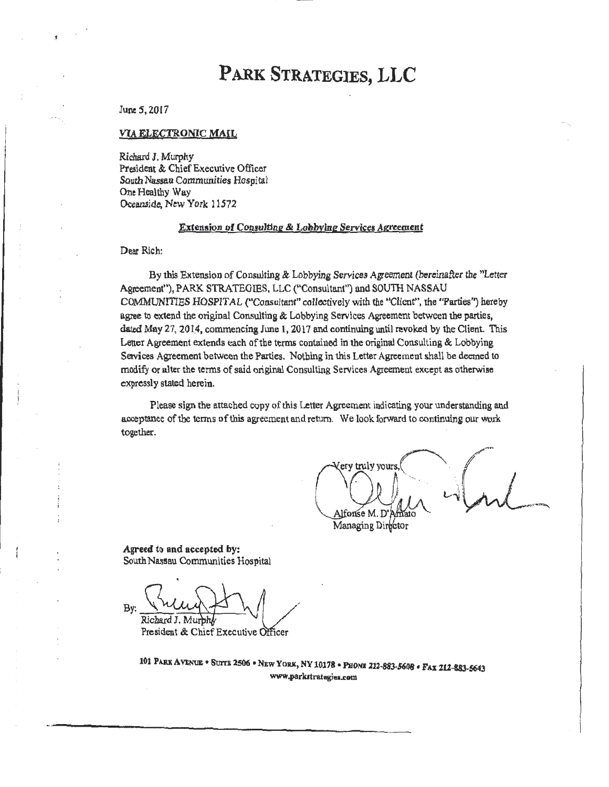### June 5, 2017

#### VIA ELECTRONIC MAIL

Richard J. Murphy President & Chief Executive Officer South Nassau Communities Hospital One Healthy Way Oceanside, New York 11572

#### Extension of Consulting & Lobbying Services Agreement

#### Dear Rich:

By this Extension of Consulting & Lobbying Services Agreement (hereinafter the "Letter Agreement"), PARK STRATEGIES, LLC ("Consultant") and SOUTH NASSAU COMMUNITIES HOSPITAL ("Consultant" collectively with the "Client", the "Parties'') hereby agree to extend the original Consulting & Lobbying Services Agreement between the parties, dated May 27, 2014, commencing June 1, 2017 and continuing until revoked by the Client. This Letter Agreement extends each of the terms contained in the original Consulting & Lobbying Services Agreement between the Parties. Nothing in this Letter Agreement shall be deemed to modify or alter the terms of said original Consulting Services Agreement except as otherwise expressly stated herein.

Please sign the attached copy of this Letter Agreement indicating your understanding and acceptance of the terms of this agreement and return. We look forward to continuing our work together.

 $\bigcap_{k=1}^{\infty}$  ( $\bigcap_{k=1}^{\infty}$  $\frac{Q}{\Delta t}$  one of  $\frac{Q}{T}$  ,  $\frac{Q}{T}$  ,  $\frac{Q}{T}$ Managing Director

Agreed to and accepted by: South Nassau Communities Hospital .

 $By: \frac{\sqrt{MLL} \sqrt{1-\frac{1}{2}}}{\text{Richard J. Murphy}}$ President & Chief Executive Officer

.., .··

101 PARK AVENUE • SUITE 2506 • NEW YORK, NY 10178 • PHONE 212-883-5608 • FAX 212-883-5643 www.parkatrategies.com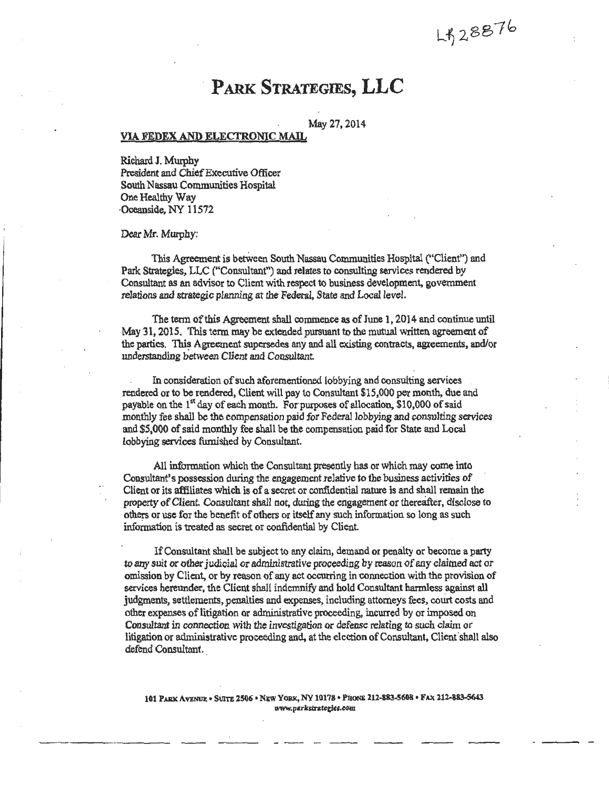LB28876

May 27,2014

#### VIA FEDEX AND ELECI'RONIC MAIL

Richard J. Murphy President and Chief Executive Officer South Nassau Communities Hospital One Healthy Way ·Oceanside, NY 11572

Dear Mr. Mwphy:

This Agreement is betWeen South Nassau Communities Hospital ("Client") and Park Strategies, LLC ("Consultant") and relates to consulting services rendered by Consultant as an advisor to Client with respect to business development, government relations and strategic planning at the Federal, State and Local level.

The term of this Agreement shall commence as of June 1, 2014 and continue until May 31, 2015. This term may be extended pursuant to the mutual written agreement of the parties. This Agreement supersedes any and all existing contracts, agreements, and/or understanding between Client and Consultant

In consideration of such aforementioned lobbying and consulting services rendered or to be rendered, Client will pay to Consultant \$15,000 per month, due and payable on the  $1<sup>st</sup>$  day of each month. For purposes of allocation, \$10,000 of said monthly fee shall be the compensation paid for Federal lobbying and consulting services and \$5,000 of said monthly fee shall be the compensation paid for State and Local lobbying services furnished by Consultant.

All information which the Consultant presently has or which may come into Consultant's possession during the engagement relative to the business activities of Client or its affiliates which is of a secret or confidential nature is and shall remain the property of Client. Consultant shall not, during the engagement or thereafter, disclose to others or use for the benefit of others or itself any such information so long as such information is treated as secret or confidential by Client.

If Consultant shall be subject to any claim, demand or penalty or become a party to any suit or other judicial or administrative proceeding by reason of any claimed act or omission by Client, or by reason of any act occurring in connection with the provision of services hereunder, the Client shall indemnify and hold. Consultant harmless against all judgments, settlements, penalties and expenses, including attorneys fees, court costs and other expenses of litigation or administrative proceeding, incurred by or imposed on Consultant in connection with the investigation or defense relating to such claim or litigation or administrative proceeding and, at the election of Consultant, Client shall also defend Consultant.

101 PARK AVENUE • SUITE 2506 • NEW YORK, NY 10178 • PHONE 212-883-5608 • FAX 212-883-5643 www.parkstrategies.com